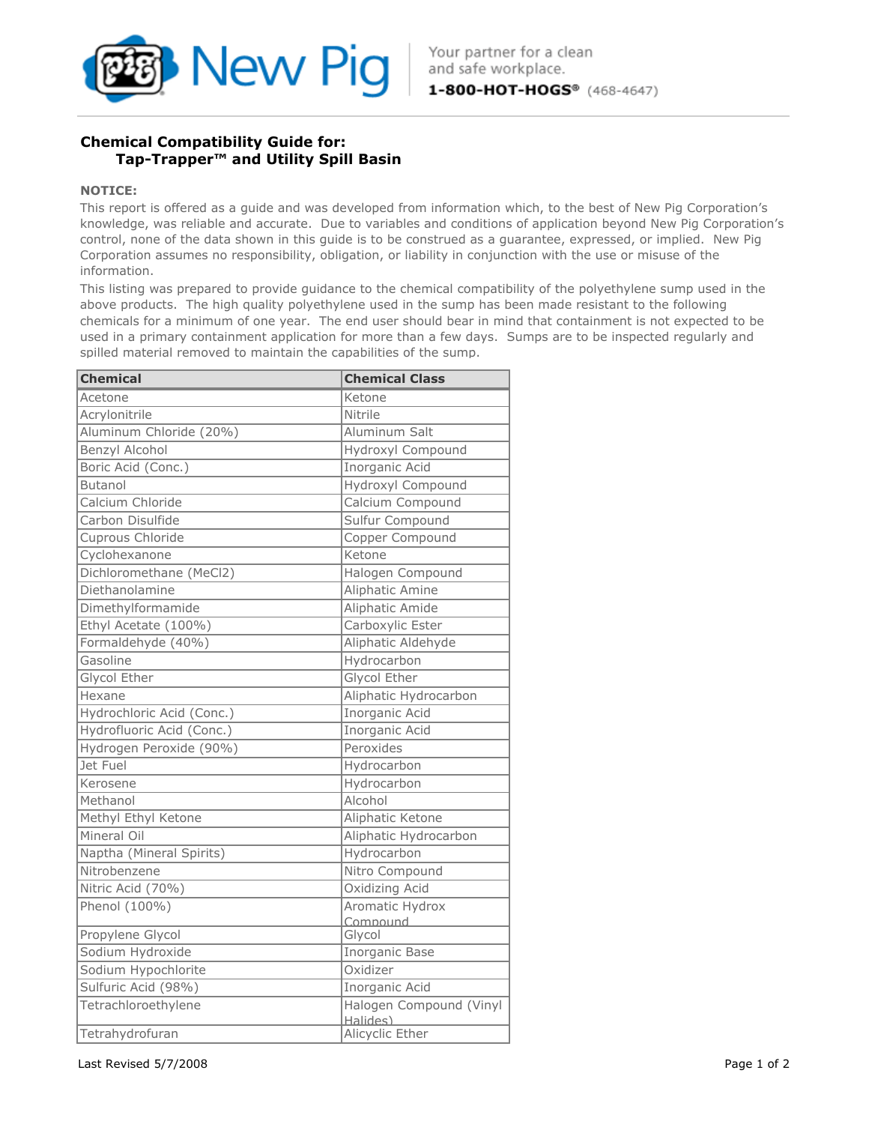

## Chemical Compatibility Guide for: Tap-Trapper™ and Utility Spill Basin

## NOTICE:

This report is offered as a guide and was developed from information which, to the best of New Pig Corporation's knowledge, was reliable and accurate. Due to variables and conditions of application beyond New Pig Corporation's control, none of the data shown in this guide is to be construed as a guarantee, expressed, or implied. New Pig Corporation assumes no responsibility, obligation, or liability in conjunction with the use or misuse of the information.

This listing was prepared to provide guidance to the chemical compatibility of the polyethylene sump used in the above products. The high quality polyethylene used in the sump has been made resistant to the following chemicals for a minimum of one year. The end user should bear in mind that containment is not expected to be used in a primary containment application for more than a few days. Sumps are to be inspected regularly and spilled material removed to maintain the capabilities of the sump.

| <b>Chemical</b>           | <b>Chemical Class</b>               |
|---------------------------|-------------------------------------|
| Acetone                   | Ketone                              |
| Acrylonitrile             | Nitrile                             |
| Aluminum Chloride (20%)   | Aluminum Salt                       |
| <b>Benzyl Alcohol</b>     | Hydroxyl Compound                   |
| Boric Acid (Conc.)        | Inorganic Acid                      |
| <b>Butanol</b>            | Hydroxyl Compound                   |
| Calcium Chloride          | Calcium Compound                    |
| Carbon Disulfide          | Sulfur Compound                     |
| Cuprous Chloride          | Copper Compound                     |
| Cyclohexanone             | Ketone                              |
| Dichloromethane (MeCl2)   | Halogen Compound                    |
| Diethanolamine            | Aliphatic Amine                     |
| Dimethylformamide         | Aliphatic Amide                     |
| Ethyl Acetate (100%)      | Carboxylic Ester                    |
| Formaldehyde (40%)        | Aliphatic Aldehyde                  |
| Gasoline                  | Hydrocarbon                         |
| <b>Glycol Ether</b>       | <b>Glycol Ether</b>                 |
| Hexane                    | Aliphatic Hydrocarbon               |
| Hydrochloric Acid (Conc.) | <b>Inorganic Acid</b>               |
| Hydrofluoric Acid (Conc.) | <b>Inorganic Acid</b>               |
| Hydrogen Peroxide (90%)   | Peroxides                           |
| Jet Fuel                  | Hydrocarbon                         |
| Kerosene                  | Hydrocarbon                         |
| Methanol                  | Alcohol                             |
| Methyl Ethyl Ketone       | Aliphatic Ketone                    |
| Mineral Oil               | Aliphatic Hydrocarbon               |
| Naptha (Mineral Spirits)  | Hydrocarbon                         |
| Nitrobenzene              | Nitro Compound                      |
| Nitric Acid (70%)         | Oxidizing Acid                      |
| Phenol (100%)             | Aromatic Hydrox                     |
|                           | Compound                            |
| Propylene Glycol          | Glycol                              |
| Sodium Hydroxide          | <b>Inorganic Base</b>               |
| Sodium Hypochlorite       | Oxidizer                            |
| Sulfuric Acid (98%)       | Inorganic Acid                      |
| Tetrachloroethylene       | Halogen Compound (Vinyl<br>Halides) |
| Tetrahydrofuran           | Alicyclic Ether                     |